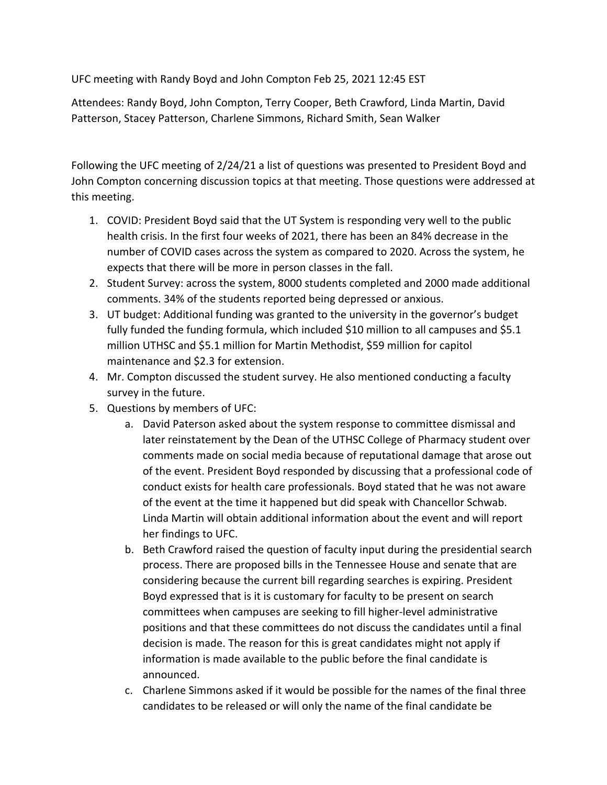UFC meeting with Randy Boyd and John Compton Feb 25, 2021 12:45 EST

 Attendees: Randy Boyd, John Compton, Terry Cooper, Beth Crawford, Linda Martin, David Patterson, Stacey Patterson, Charlene Simmons, Richard Smith, Sean Walker

 Following the UFC meeting of 2/24/21 a list of questions was presented to President Boyd and John Compton concerning discussion topics at that meeting. Those questions were addressed at this meeting.

- 1. COVID: President Boyd said that the UT System is responding very well to the public health crisis. In the first four weeks of 2021, there has been an 84% decrease in the number of COVID cases across the system as compared to 2020. Across the system, he expects that there will be more in person classes in the fall.
- 2. Student Survey: across the system, 8000 students completed and 2000 made additional comments. 34% of the students reported being depressed or anxious.
- 3. UT budget: Additional funding was granted to the university in the governor's budget fully funded the funding formula, which included \$10 million to all campuses and \$5.1 million UTHSC and \$5.1 million for Martin Methodist, \$59 million for capitol maintenance and \$2.3 for extension.
- 4. Mr. Compton discussed the student survey. He also mentioned conducting a faculty survey in the future.
- 5. Questions by members of UFC:
	- a. David Paterson asked about the system response to committee dismissal and later reinstatement by the Dean of the UTHSC College of Pharmacy student over comments made on social media because of reputational damage that arose out of the event. President Boyd responded by discussing that a professional code of conduct exists for health care professionals. Boyd stated that he was not aware of the event at the time it happened but did speak with Chancellor Schwab. Linda Martin will obtain additional information about the event and will report her findings to UFC.
	- b. Beth Crawford raised the question of faculty input during the presidential search process. There are proposed bills in the Tennessee House and senate that are considering because the current bill regarding searches is expiring. President Boyd expressed that is it is customary for faculty to be present on search committees when campuses are seeking to fill higher-level administrative positions and that these committees do not discuss the candidates until a final decision is made. The reason for this is great candidates might not apply if information is made available to the public before the final candidate is announced.
	- c. Charlene Simmons asked if it would be possible for the names of the final three candidates to be released or will only the name of the final candidate be